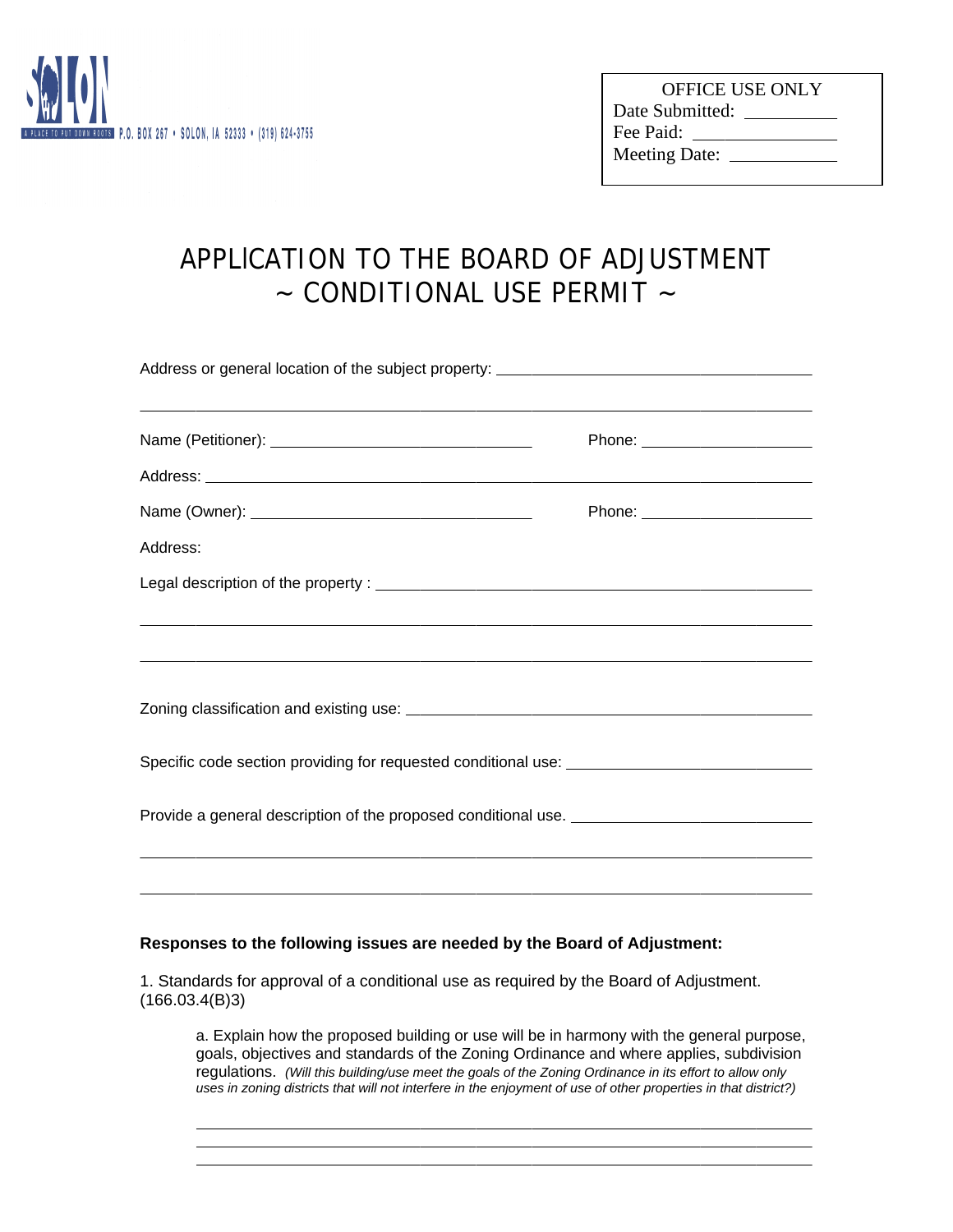

 $\overline{a}$  $\overline{a}$  $\overline{a}$ 

| <b>OFFICE USE ONLY</b> |  |
|------------------------|--|
| Date Submitted:        |  |
| Fee Paid:              |  |
| Meeting Date: ______   |  |
|                        |  |

## APPLlCATION TO THE BOARD OF ADJUSTMENT  $\sim$  CONDITIONAL USE PERMIT  $\sim$

| ,我们也不会有什么。""我们的人,我们也不会有什么?""我们的人,我们也不会有什么?""我们的人,我们也不会有什么?""我们的人,我们也不会有什么?""我们的人                                                                                                                                                     | Phone: ________________________ |
|--------------------------------------------------------------------------------------------------------------------------------------------------------------------------------------------------------------------------------------|---------------------------------|
|                                                                                                                                                                                                                                      |                                 |
| Name (Owner): <u>and a series of the series of the series of the series of the series of the series of the series of the series of the series of the series of the series of the series of the series of the series of the serie</u> | Phone: ________________________ |
| Address:                                                                                                                                                                                                                             |                                 |
|                                                                                                                                                                                                                                      |                                 |
| ,我们也不会有什么?""我们的人,我们也不会有什么?""我们的人,我们也不会有什么?""我们的人,我们也不会有什么?""我们的人,我们也不会有什么?""我们的人<br>,我们也不会有什么。""我们的人,我们也不会有什么?""我们的人,我们也不会有什么?""我们的人,我们也不会有什么?""我们的人,我们也不会有什么?""我们的人                                                                 |                                 |
|                                                                                                                                                                                                                                      |                                 |
|                                                                                                                                                                                                                                      |                                 |
|                                                                                                                                                                                                                                      |                                 |
|                                                                                                                                                                                                                                      |                                 |
|                                                                                                                                                                                                                                      |                                 |

## **Responses to the following issues are needed by the Board of Adjustment:**

1. Standards for approval of a conditional use as required by the Board of Adjustment. (166.03.4(B)3)

a. Explain how the proposed building or use will be in harmony with the general purpose, goals, objectives and standards of the Zoning Ordinance and where applies, subdivision regulations. *(Will this building/use meet the goals of the Zoning Ordinance in its effort to allow only uses in zoning districts that will not interfere in the enjoyment of use of other properties in that district?)*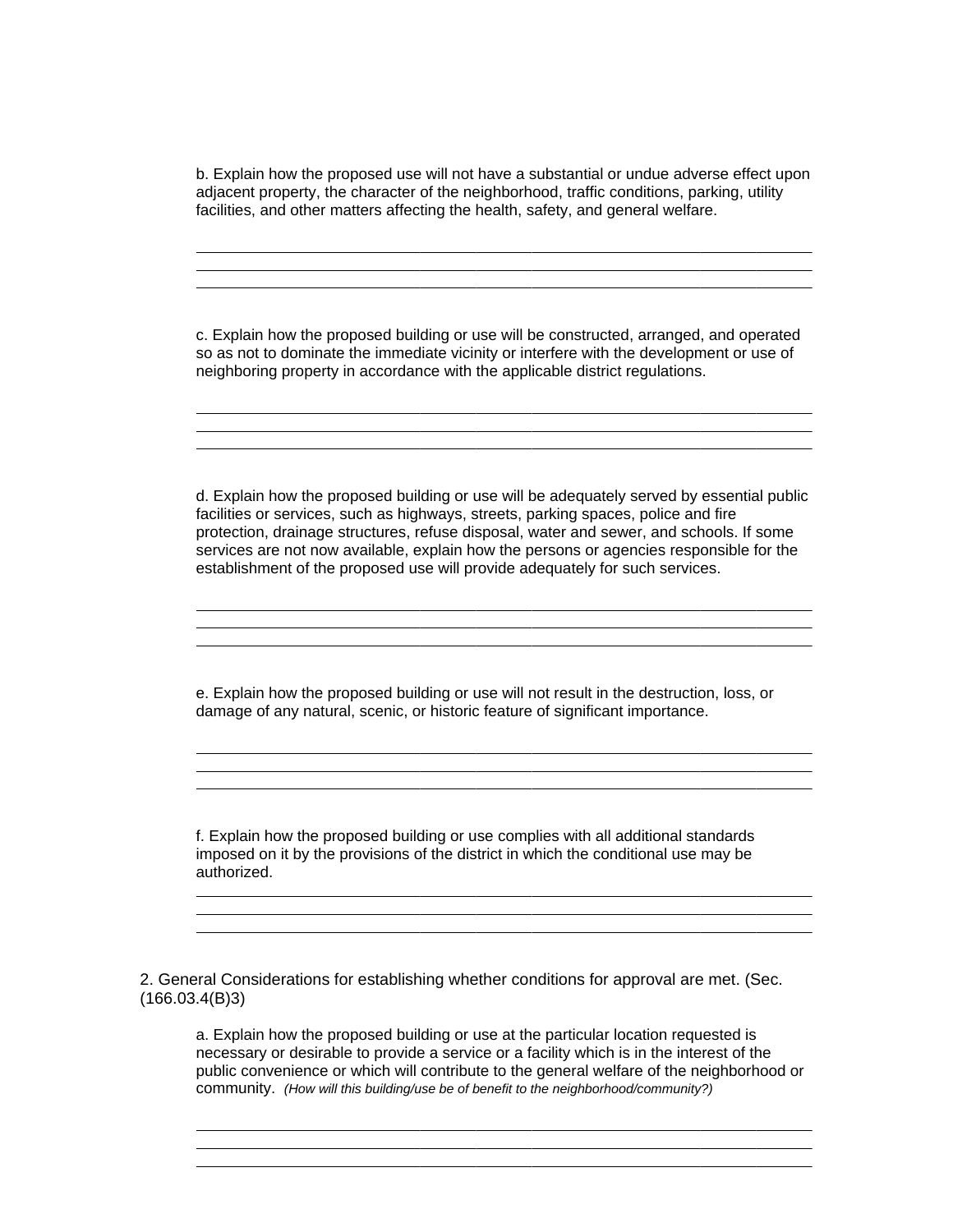b. Explain how the proposed use will not have a substantial or undue adverse effect upon adjacent property, the character of the neighborhood, traffic conditions, parking, utility facilities, and other matters affecting the health, safety, and general welfare.

 $\overline{a}$  $\overline{a}$  $\overline{a}$ 

 $\overline{a}$  $\overline{a}$  $\overline{a}$ 

 $\overline{a}$  $\overline{a}$  $\overline{a}$ 

 $\overline{a}$  $\overline{a}$  $\overline{a}$ 

 $\overline{a}$  $\overline{a}$  $\overline{a}$ 

 $\overline{a}$  $\overline{a}$  $\overline{a}$ 

c. Explain how the proposed building or use will be constructed, arranged, and operated so as not to dominate the immediate vicinity or interfere with the development or use of neighboring property in accordance with the applicable district regulations.

d. Explain how the proposed building or use will be adequately served by essential public facilities or services, such as highways, streets, parking spaces, police and fire protection, drainage structures, refuse disposal, water and sewer, and schools. If some services are not now available, explain how the persons or agencies responsible for the establishment of the proposed use will provide adequately for such services.

e. Explain how the proposed building or use will not result in the destruction, loss, or damage of any natural, scenic, or historic feature of significant importance.

f. Explain how the proposed building or use complies with all additional standards imposed on it by the provisions of the district in which the conditional use may be authorized.

2. General Considerations for establishing whether conditions for approval are met. (Sec. (166.03.4(B)3)

a. Explain how the proposed building or use at the particular location requested is necessary or desirable to provide a service or a facility which is in the interest of the public convenience or which will contribute to the general welfare of the neighborhood or community. *(How will this building/use be of benefit to the neighborhood/community?)*

and the control of the control of the control of the control of the control of the control of the control of the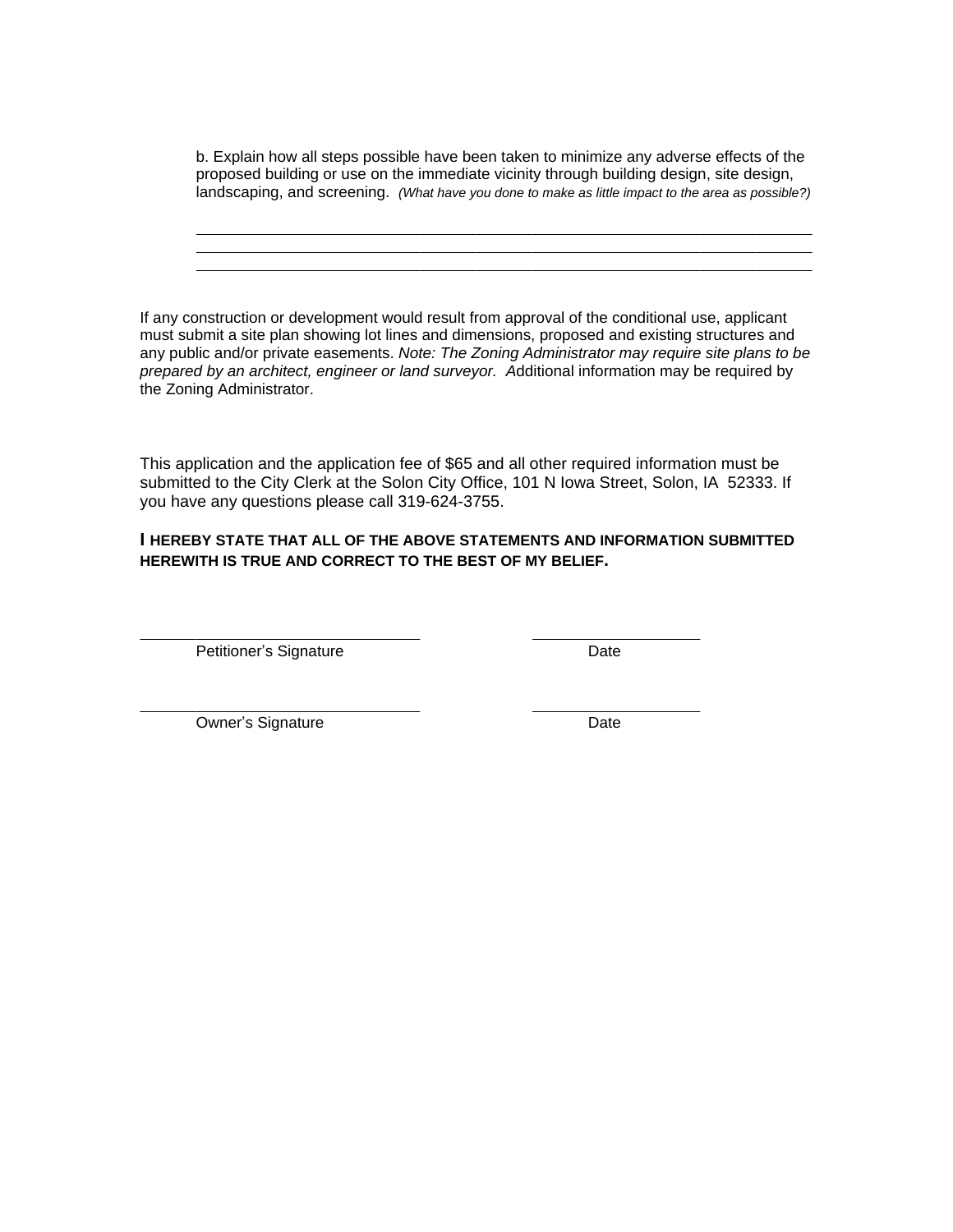b. Explain how all steps possible have been taken to minimize any adverse effects of the proposed building or use on the immediate vicinity through building design, site design, landscaping, and screening. *(What have you done to make as little impact to the area as possible?)*

If any construction or development would result from approval of the conditional use, applicant must submit a site plan showing lot lines and dimensions, proposed and existing structures and any public and/or private easements. *Note: The Zoning Administrator may require site plans to be prepared by an architect, engineer or land surveyor. A*dditional information may be required by the Zoning Administrator.

This application and the application fee of \$65 and all other required information must be submitted to the City Clerk at the Solon City Office, 101 N Iowa Street, Solon, IA 52333. If you have any questions please call 319-624-3755.

## **I HEREBY STATE THAT ALL OF THE ABOVE STATEMENTS AND INFORMATION SUBMITTED HEREWITH IS TRUE AND CORRECT TO THE BEST OF MY BELIEF.**

Petitioner's Signature Date

 $\overline{a}$ 

 $\overline{a}$ 

 $\overline{a}$  $\overline{a}$  $\overline{a}$ 

Owner's Signature Date